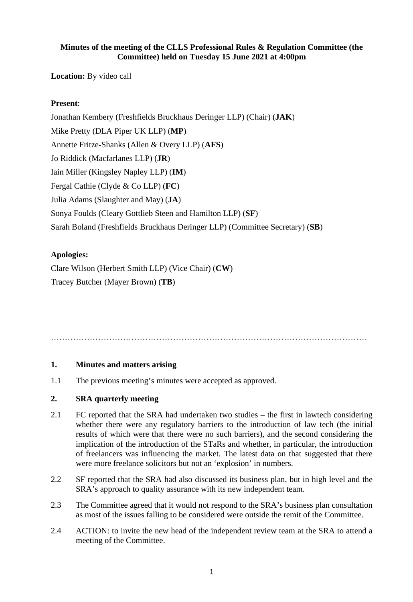## **Minutes of the meeting of the CLLS Professional Rules & Regulation Committee (the Committee) held on Tuesday 15 June 2021 at 4:00pm**

**Location:** By video call

# **Present**:

Jonathan Kembery (Freshfields Bruckhaus Deringer LLP) (Chair) (**JAK**) Mike Pretty (DLA Piper UK LLP) (**MP**) Annette Fritze-Shanks (Allen & Overy LLP) (**AFS**) Jo Riddick (Macfarlanes LLP) (**JR**) Iain Miller (Kingsley Napley LLP) (**IM**) Fergal Cathie (Clyde & Co LLP) (**FC**) Julia Adams (Slaughter and May) (**JA**) Sonya Foulds (Cleary Gottlieb Steen and Hamilton LLP) (**SF**) Sarah Boland (Freshfields Bruckhaus Deringer LLP) (Committee Secretary) (**SB**)

## **Apologies:**

Clare Wilson (Herbert Smith LLP) (Vice Chair) (**CW**) Tracey Butcher (Mayer Brown) (**TB**)

……………………………………………………………………………………………………

#### **1. Minutes and matters arising**

1.1 The previous meeting's minutes were accepted as approved.

#### **2. SRA quarterly meeting**

- 2.1 FC reported that the SRA had undertaken two studies the first in lawtech considering whether there were any regulatory barriers to the introduction of law tech (the initial results of which were that there were no such barriers), and the second considering the implication of the introduction of the STaRs and whether, in particular, the introduction of freelancers was influencing the market. The latest data on that suggested that there were more freelance solicitors but not an 'explosion' in numbers.
- 2.2 SF reported that the SRA had also discussed its business plan, but in high level and the SRA's approach to quality assurance with its new independent team.
- 2.3 The Committee agreed that it would not respond to the SRA's business plan consultation as most of the issues falling to be considered were outside the remit of the Committee.
- 2.4 ACTION: to invite the new head of the independent review team at the SRA to attend a meeting of the Committee.